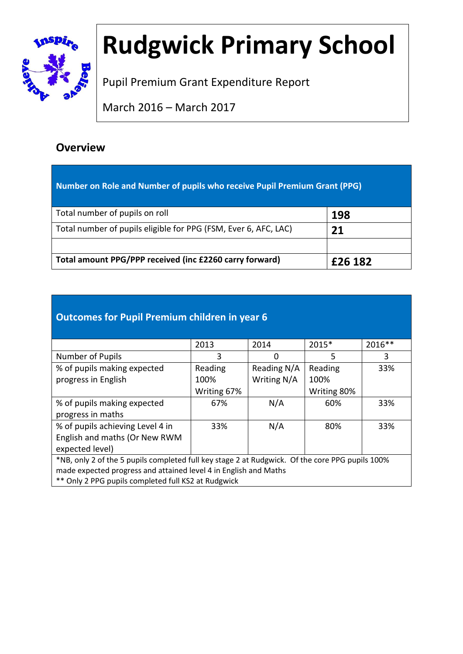

# **Rudgwick Primary School**

Pupil Premium Grant Expenditure Report

March 2016 – March 2017

### **Overview**

| Number on Role and Number of pupils who receive Pupil Premium Grant (PPG) |         |  |  |
|---------------------------------------------------------------------------|---------|--|--|
| Total number of pupils on roll                                            | 198     |  |  |
| Total number of pupils eligible for PPG (FSM, Ever 6, AFC, LAC)           | 21      |  |  |
| Total amount PPG/PPP received (inc £2260 carry forward)                   | £26 182 |  |  |

### **Outcomes for Pupil Premium children in year 6**

|                                                                                                 | 2013        | 2014        | 2015*       | 2016** |
|-------------------------------------------------------------------------------------------------|-------------|-------------|-------------|--------|
| Number of Pupils                                                                                | 3           | 0           | 5           | 3      |
| % of pupils making expected                                                                     | Reading     | Reading N/A | Reading     | 33%    |
| progress in English                                                                             | 100%        | Writing N/A | 100%        |        |
|                                                                                                 | Writing 67% |             | Writing 80% |        |
| % of pupils making expected                                                                     | 67%         | N/A         | 60%         | 33%    |
| progress in maths                                                                               |             |             |             |        |
| % of pupils achieving Level 4 in                                                                | 33%         | N/A         | 80%         | 33%    |
| English and maths (Or New RWM                                                                   |             |             |             |        |
| expected level)                                                                                 |             |             |             |        |
| *NB, only 2 of the 5 pupils completed full key stage 2 at Rudgwick. Of the core PPG pupils 100% |             |             |             |        |
| made expected progress and attained level 4 in English and Maths                                |             |             |             |        |
| ** Only 2 PPG pupils completed full KS2 at Rudgwick                                             |             |             |             |        |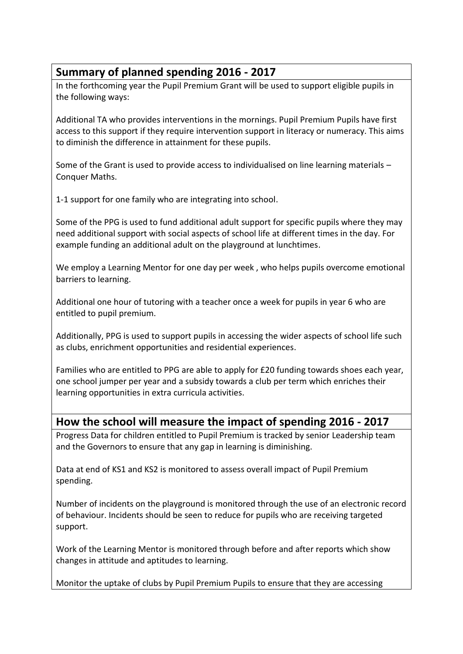#### **Summary of planned spending 2016 - 2017**

In the forthcoming year the Pupil Premium Grant will be used to support eligible pupils in the following ways:

Additional TA who provides interventions in the mornings. Pupil Premium Pupils have first access to this support if they require intervention support in literacy or numeracy. This aims to diminish the difference in attainment for these pupils.

Some of the Grant is used to provide access to individualised on line learning materials – Conquer Maths.

1-1 support for one family who are integrating into school.

Some of the PPG is used to fund additional adult support for specific pupils where they may need additional support with social aspects of school life at different times in the day. For example funding an additional adult on the playground at lunchtimes.

We employ a Learning Mentor for one day per week , who helps pupils overcome emotional barriers to learning.

Additional one hour of tutoring with a teacher once a week for pupils in year 6 who are entitled to pupil premium.

Additionally, PPG is used to support pupils in accessing the wider aspects of school life such as clubs, enrichment opportunities and residential experiences.

Families who are entitled to PPG are able to apply for £20 funding towards shoes each year, one school jumper per year and a subsidy towards a club per term which enriches their learning opportunities in extra curricula activities.

#### **How the school will measure the impact of spending 2016 - 2017**

Progress Data for children entitled to Pupil Premium is tracked by senior Leadership team and the Governors to ensure that any gap in learning is diminishing.

Data at end of KS1 and KS2 is monitored to assess overall impact of Pupil Premium spending.

Number of incidents on the playground is monitored through the use of an electronic record of behaviour. Incidents should be seen to reduce for pupils who are receiving targeted support.

Work of the Learning Mentor is monitored through before and after reports which show changes in attitude and aptitudes to learning.

Monitor the uptake of clubs by Pupil Premium Pupils to ensure that they are accessing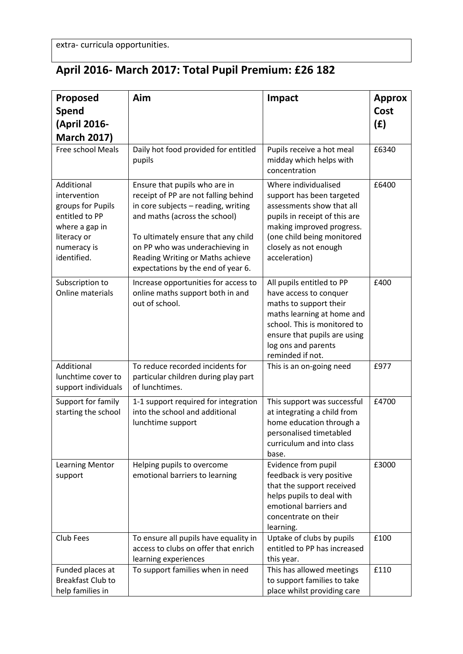## **April 2016- March 2017: Total Pupil Premium: £26 182**

| Proposed                                                                                                                         | Aim                                                                                                                                                                                                                                                                                               | Impact                                                                                                                                                                                                                 | <b>Approx</b> |
|----------------------------------------------------------------------------------------------------------------------------------|---------------------------------------------------------------------------------------------------------------------------------------------------------------------------------------------------------------------------------------------------------------------------------------------------|------------------------------------------------------------------------------------------------------------------------------------------------------------------------------------------------------------------------|---------------|
| <b>Spend</b>                                                                                                                     |                                                                                                                                                                                                                                                                                                   |                                                                                                                                                                                                                        | Cost          |
| (April 2016-                                                                                                                     |                                                                                                                                                                                                                                                                                                   |                                                                                                                                                                                                                        | (E)           |
| <b>March 2017)</b>                                                                                                               |                                                                                                                                                                                                                                                                                                   |                                                                                                                                                                                                                        |               |
| Free school Meals                                                                                                                | Daily hot food provided for entitled<br>pupils                                                                                                                                                                                                                                                    | Pupils receive a hot meal<br>midday which helps with<br>concentration                                                                                                                                                  | £6340         |
| Additional<br>intervention<br>groups for Pupils<br>entitled to PP<br>where a gap in<br>literacy or<br>numeracy is<br>identified. | Ensure that pupils who are in<br>receipt of PP are not falling behind<br>in core subjects - reading, writing<br>and maths (across the school)<br>To ultimately ensure that any child<br>on PP who was underachieving in<br>Reading Writing or Maths achieve<br>expectations by the end of year 6. | Where individualised<br>support has been targeted<br>assessments show that all<br>pupils in receipt of this are<br>making improved progress.<br>(one child being monitored<br>closely as not enough<br>acceleration)   | £6400         |
| Subscription to<br>Online materials                                                                                              | Increase opportunities for access to<br>online maths support both in and<br>out of school.                                                                                                                                                                                                        | All pupils entitled to PP<br>have access to conquer<br>maths to support their<br>maths learning at home and<br>school. This is monitored to<br>ensure that pupils are using<br>log ons and parents<br>reminded if not. | £400          |
| Additional<br>lunchtime cover to<br>support individuals                                                                          | To reduce recorded incidents for<br>particular children during play part<br>of lunchtimes.                                                                                                                                                                                                        | This is an on-going need                                                                                                                                                                                               | £977          |
| Support for family<br>starting the school                                                                                        | 1-1 support required for integration<br>into the school and additional<br>lunchtime support                                                                                                                                                                                                       | This support was successful<br>at integrating a child from<br>home education through a<br>personalised timetabled<br>curriculum and into class<br>base.                                                                | £4700         |
| <b>Learning Mentor</b><br>support                                                                                                | Helping pupils to overcome<br>emotional barriers to learning                                                                                                                                                                                                                                      | Evidence from pupil<br>feedback is very positive<br>that the support received<br>helps pupils to deal with<br>emotional barriers and<br>concentrate on their<br>learning.                                              | £3000         |
| Club Fees                                                                                                                        | To ensure all pupils have equality in<br>access to clubs on offer that enrich<br>learning experiences                                                                                                                                                                                             | Uptake of clubs by pupils<br>entitled to PP has increased<br>this year.                                                                                                                                                | £100          |
| Funded places at<br><b>Breakfast Club to</b><br>help families in                                                                 | To support families when in need                                                                                                                                                                                                                                                                  | This has allowed meetings<br>to support families to take<br>place whilst providing care                                                                                                                                | £110          |